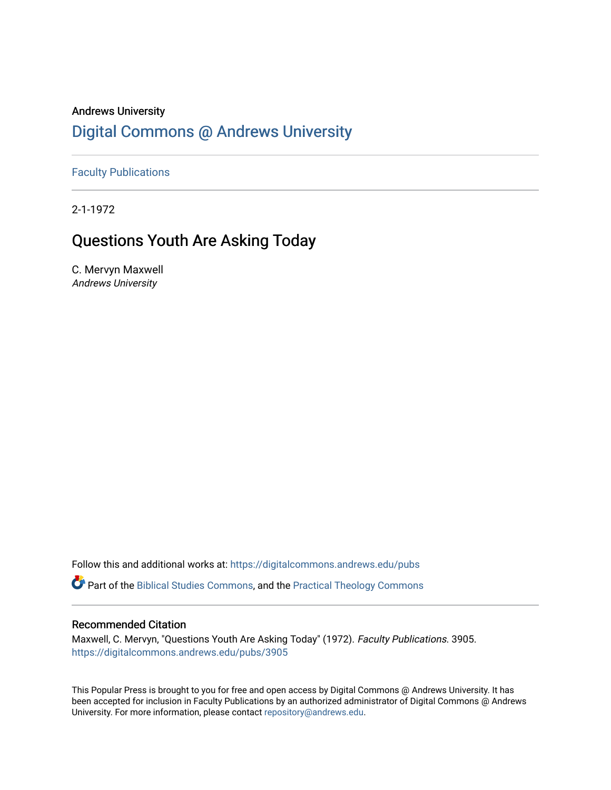# Andrews University [Digital Commons @ Andrews University](https://digitalcommons.andrews.edu/)

[Faculty Publications](https://digitalcommons.andrews.edu/pubs)

2-1-1972

# Questions Youth Are Asking Today

C. Mervyn Maxwell Andrews University

Follow this and additional works at: [https://digitalcommons.andrews.edu/pubs](https://digitalcommons.andrews.edu/pubs?utm_source=digitalcommons.andrews.edu%2Fpubs%2F3905&utm_medium=PDF&utm_campaign=PDFCoverPages) 

Part of the [Biblical Studies Commons,](http://network.bepress.com/hgg/discipline/539?utm_source=digitalcommons.andrews.edu%2Fpubs%2F3905&utm_medium=PDF&utm_campaign=PDFCoverPages) and the [Practical Theology Commons](http://network.bepress.com/hgg/discipline/1186?utm_source=digitalcommons.andrews.edu%2Fpubs%2F3905&utm_medium=PDF&utm_campaign=PDFCoverPages) 

## Recommended Citation

Maxwell, C. Mervyn, "Questions Youth Are Asking Today" (1972). Faculty Publications. 3905. [https://digitalcommons.andrews.edu/pubs/3905](https://digitalcommons.andrews.edu/pubs/3905?utm_source=digitalcommons.andrews.edu%2Fpubs%2F3905&utm_medium=PDF&utm_campaign=PDFCoverPages) 

This Popular Press is brought to you for free and open access by Digital Commons @ Andrews University. It has been accepted for inclusion in Faculty Publications by an authorized administrator of Digital Commons @ Andrews University. For more information, please contact [repository@andrews.edu](mailto:repository@andrews.edu).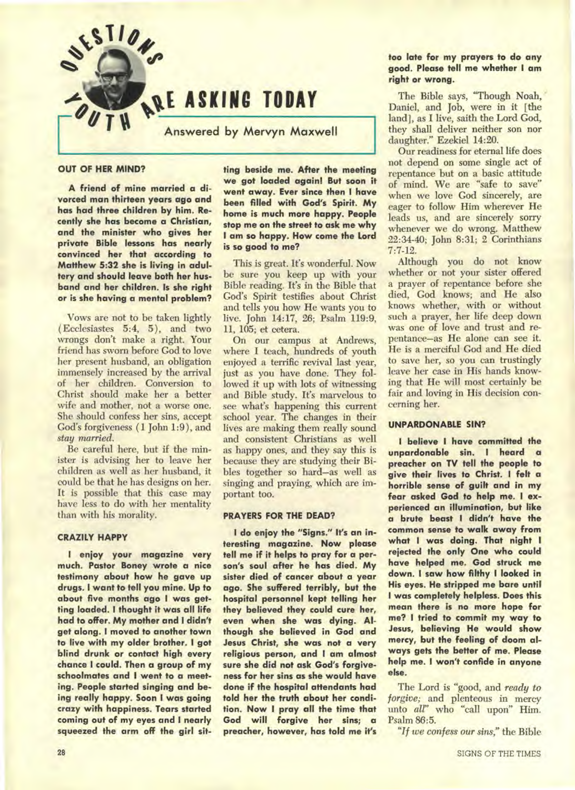

#### **OUT OF HER MIND?**

**A friend of mine married a divorced man thirteen years ago and has had three children by him. Recently she has become a Christian, and the minister who gives her private Bible lessons has nearly convinced her that according to Matthew 5:32 she is living in adultery and should leave both her husband and her children. Is she right or is she having a mental problem?** 

Vows are not to be taken lightly ( Ecclesiastes 5:4, 5), and two wrongs don't make a right. Your friend has sworn before God to love her present husband, an obligation immensely increased by the arrival of her children. Conversion to Christ should make her a better wife and mother, not a worse one. She should confess her sins, accept God's forgiveness (1 John 1:9), and *stay married.* 

Be careful here, but if the minister is advising her to leave her children as well as her husband, it could be that he has designs on her. It is possible that this case may have less to do with her mentality than with his morality.

#### **CRAZILY HAPPY**

**I enjoy your magazine very much. Pastor Boney wrote a nice testimony about how he gave up drugs. I want to tell you mine. Up to about five months ago I was getting loaded. I thought it was all life had to offer. My mother and I didn't get along. I moved to another town to live with my older brother. I got blind drunk or contact high every chance I could. Then a group of my schoolmates and I went to a meeting. People started singing and being really happy. Soon I was going crazy with happiness. Tears started coming out of my eyes and I nearly squeezed the arm off the girl sit-** **ting beside me. After the meeting we got loaded again! But soon it went away. Ever since then I have been filled with God's Spirit. My home is much more happy. People stop me on the street to ask me why I am so happy. How come the Lord is so good to me?** 

This is great. It's wonderful. Now be sure you keep up with your Bible reading. It's in the Bible that God's Spirit testifies about Christ and tells you how He wants you to live. John 14:17, 26; Psalm 119:9, 11, 105; et cetera.

On our campus at Andrews, where I teach, hundreds of youth enjoyed a terrific revival last year, just as you have done. They followed it up with lots of witnessing and Bible study. It's marvelous to see what's happening this current school year. The changes in their lives are making them really sound and consistent Christians as well as happy ones, and they say this is because they are studying their Bibles together so hard—as well as singing and praying, which are important too.

## **PRAYERS FOR THE DEAD?**

**I do enjoy the "Signs." It's an interesting magazine. Now please tell me if it helps to pray for a person's soul after he has died. My sister died of cancer about a year ago. She suffered terribly, but the hospital personnel kept telling her they believed they could cure her, even when she was dying. Although she believed in God and Jesus Christ, she was not a very religious person, and I am almost sure she did not ask God's forgiveness for her sins as she would have done if the hospital attendants had told her the truth about her condition. Now I pray all the time that God will forgive her sins; a preacher, however, has told me it's** 

## **too late for my prayers to do any good. Please tell me whether I am right or wrong.**

The Bible says, "Though Noah, Daniel, and Job, were in it [the land], as I live, saith the Lord God, they shall deliver neither son nor daughter." Ezekiel 14:20.

Our readiness for eternal life does not depend on some single act of repentance but on a basic attitude of mind. We are "safe to save" when we love God sincerely, are eager to follow Him wherever He leads us, and are sincerely sorry whenever we do wrong. Matthew 22:34-40; John 8:31; 2 Corinthians 7:7-12.

Although you do not know whether or not your sister offered a prayer of repentance before she died, God knows; and He also knows whether, with or without such a prayer, her life deep down was one of love and trust and repentance—as He alone can see it. He is a merciful God and He died to save her, so you can trustingly leave her case in His hands knowing that He will most certainly be fair and loving in His decision concerning her.

## **UNPARDONABLE SIN?**

**I believe 1 have committed the unpardonable sin. I heard a preacher on TV tell the people to give their lives to Christ. I felt a horrible sense of guilt and in my fear asked God to help me. I experienced an illumination, but like a brute beast I didn't have the common sense to walk away from what I was doing. That night I rejected the only One who could have helped me. God struck me down. I saw how filthy I looked in His eyes. He stripped me bare until I was completely helpless. Does this mean there is no more hope for me? I tried to commit my way to Jesus, believing He would show mercy, but the feeling of doom always gets the better of me. Please help me. I won't confide in anyone**  else.

The Lord is "good, and *ready to forgive;* and plenteous in mercy unto *all"* who "call upon" Him. Psalm 86:5.

*"If we confess our sins,"* the Bible